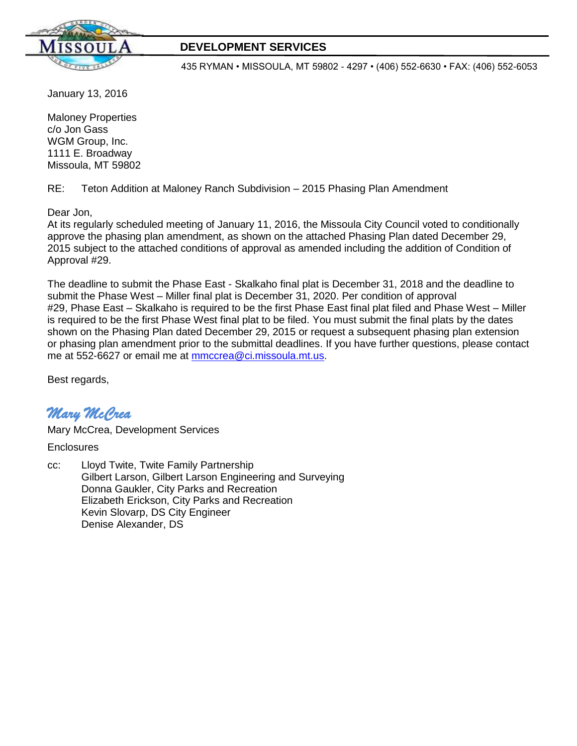

# **DEVELOPMENT SERVICES**

435 RYMAN • MISSOULA, MT 59802 - 4297 • (406) 552-6630 • FAX: (406) 552-6053

January 13, 2016

Maloney Properties c/o Jon Gass WGM Group, Inc. 1111 E. Broadway Missoula, MT 59802

RE: Teton Addition at Maloney Ranch Subdivision – 2015 Phasing Plan Amendment

Dear Jon,

At its regularly scheduled meeting of January 11, 2016, the Missoula City Council voted to conditionally approve the phasing plan amendment, as shown on the attached Phasing Plan dated December 29, 2015 subject to the attached conditions of approval as amended including the addition of Condition of Approval #29.

The deadline to submit the Phase East - Skalkaho final plat is December 31, 2018 and the deadline to submit the Phase West – Miller final plat is December 31, 2020. Per condition of approval #29, Phase East – Skalkaho is required to be the first Phase East final plat filed and Phase West – Miller is required to be the first Phase West final plat to be filed. You must submit the final plats by the dates shown on the Phasing Plan dated December 29, 2015 or request a subsequent phasing plan extension or phasing plan amendment prior to the submittal deadlines. If you have further questions, please contact me at 552-6627 or email me at [mmccrea@ci.missoula.mt.us.](mailto:mmccrea@ci.missoula.mt.us)

Best regards,

# *Mary McCrea*

Mary McCrea, Development Services

**Enclosures** 

cc: Lloyd Twite, Twite Family Partnership Gilbert Larson, Gilbert Larson Engineering and Surveying Donna Gaukler, City Parks and Recreation Elizabeth Erickson, City Parks and Recreation Kevin Slovarp, DS City Engineer Denise Alexander, DS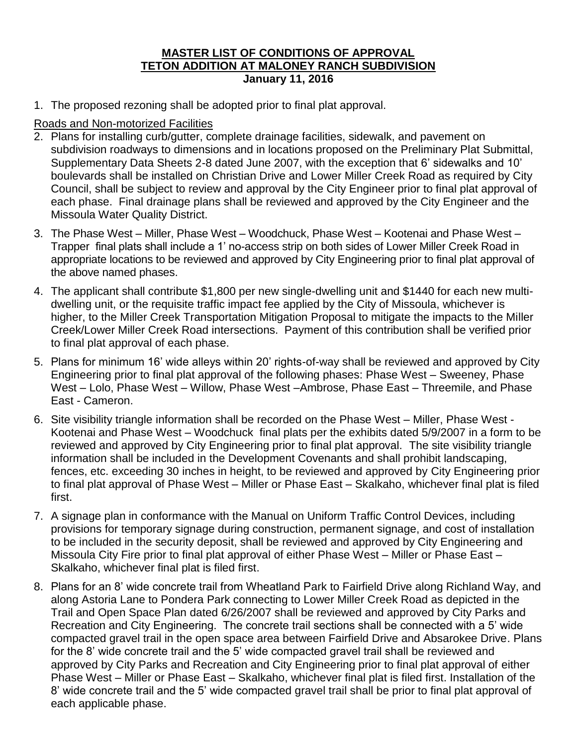#### **MASTER LIST OF CONDITIONS OF APPROVAL TETON ADDITION AT MALONEY RANCH SUBDIVISION January 11, 2016**

1. The proposed rezoning shall be adopted prior to final plat approval.

# Roads and Non-motorized Facilities

- 2. Plans for installing curb/gutter, complete drainage facilities, sidewalk, and pavement on subdivision roadways to dimensions and in locations proposed on the Preliminary Plat Submittal, Supplementary Data Sheets 2-8 dated June 2007, with the exception that 6' sidewalks and 10' boulevards shall be installed on Christian Drive and Lower Miller Creek Road as required by City Council, shall be subject to review and approval by the City Engineer prior to final plat approval of each phase. Final drainage plans shall be reviewed and approved by the City Engineer and the Missoula Water Quality District.
- 3. The Phase West Miller, Phase West Woodchuck, Phase West Kootenai and Phase West Trapper final plats shall include a 1' no-access strip on both sides of Lower Miller Creek Road in appropriate locations to be reviewed and approved by City Engineering prior to final plat approval of the above named phases.
- 4. The applicant shall contribute \$1,800 per new single-dwelling unit and \$1440 for each new multidwelling unit, or the requisite traffic impact fee applied by the City of Missoula, whichever is higher, to the Miller Creek Transportation Mitigation Proposal to mitigate the impacts to the Miller Creek/Lower Miller Creek Road intersections. Payment of this contribution shall be verified prior to final plat approval of each phase.
- 5. Plans for minimum 16' wide alleys within 20' rights-of-way shall be reviewed and approved by City Engineering prior to final plat approval of the following phases: Phase West – Sweeney, Phase West – Lolo, Phase West – Willow, Phase West –Ambrose, Phase East – Threemile, and Phase East - Cameron.
- 6. Site visibility triangle information shall be recorded on the Phase West Miller, Phase West Kootenai and Phase West – Woodchuck final plats per the exhibits dated 5/9/2007 in a form to be reviewed and approved by City Engineering prior to final plat approval. The site visibility triangle information shall be included in the Development Covenants and shall prohibit landscaping, fences, etc. exceeding 30 inches in height, to be reviewed and approved by City Engineering prior to final plat approval of Phase West – Miller or Phase East – Skalkaho, whichever final plat is filed first.
- 7. A signage plan in conformance with the Manual on Uniform Traffic Control Devices, including provisions for temporary signage during construction, permanent signage, and cost of installation to be included in the security deposit, shall be reviewed and approved by City Engineering and Missoula City Fire prior to final plat approval of either Phase West – Miller or Phase East – Skalkaho, whichever final plat is filed first.
- 8. Plans for an 8' wide concrete trail from Wheatland Park to Fairfield Drive along Richland Way, and along Astoria Lane to Pondera Park connecting to Lower Miller Creek Road as depicted in the Trail and Open Space Plan dated 6/26/2007 shall be reviewed and approved by City Parks and Recreation and City Engineering. The concrete trail sections shall be connected with a 5' wide compacted gravel trail in the open space area between Fairfield Drive and Absarokee Drive. Plans for the 8' wide concrete trail and the 5' wide compacted gravel trail shall be reviewed and approved by City Parks and Recreation and City Engineering prior to final plat approval of either Phase West – Miller or Phase East – Skalkaho, whichever final plat is filed first. Installation of the 8' wide concrete trail and the 5' wide compacted gravel trail shall be prior to final plat approval of each applicable phase.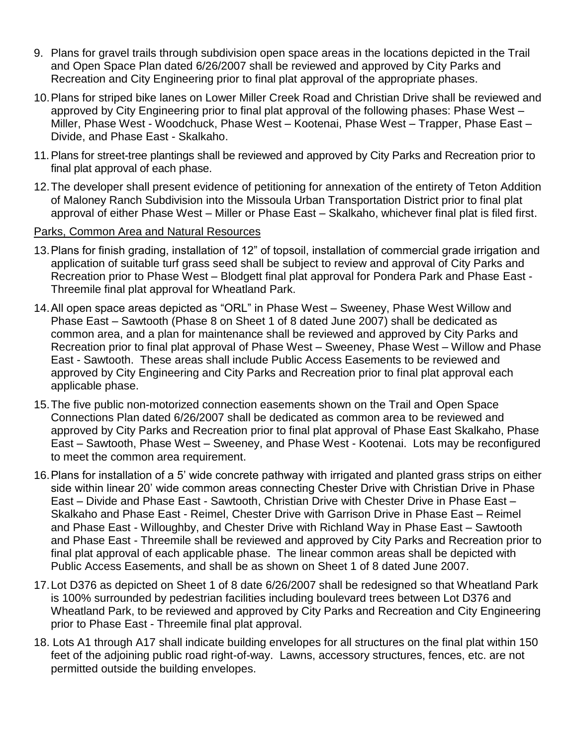- 9. Plans for gravel trails through subdivision open space areas in the locations depicted in the Trail and Open Space Plan dated 6/26/2007 shall be reviewed and approved by City Parks and Recreation and City Engineering prior to final plat approval of the appropriate phases.
- 10.Plans for striped bike lanes on Lower Miller Creek Road and Christian Drive shall be reviewed and approved by City Engineering prior to final plat approval of the following phases: Phase West – Miller, Phase West - Woodchuck, Phase West – Kootenai, Phase West – Trapper, Phase East – Divide, and Phase East - Skalkaho.
- 11.Plans for street-tree plantings shall be reviewed and approved by City Parks and Recreation prior to final plat approval of each phase.
- 12.The developer shall present evidence of petitioning for annexation of the entirety of Teton Addition of Maloney Ranch Subdivision into the Missoula Urban Transportation District prior to final plat approval of either Phase West – Miller or Phase East – Skalkaho, whichever final plat is filed first.
- Parks, Common Area and Natural Resources
- 13.Plans for finish grading, installation of 12" of topsoil, installation of commercial grade irrigation and application of suitable turf grass seed shall be subject to review and approval of City Parks and Recreation prior to Phase West – Blodgett final plat approval for Pondera Park and Phase East - Threemile final plat approval for Wheatland Park.
- 14.All open space areas depicted as "ORL" in Phase West Sweeney, Phase West Willow and Phase East – Sawtooth (Phase 8 on Sheet 1 of 8 dated June 2007) shall be dedicated as common area, and a plan for maintenance shall be reviewed and approved by City Parks and Recreation prior to final plat approval of Phase West – Sweeney, Phase West – Willow and Phase East - Sawtooth. These areas shall include Public Access Easements to be reviewed and approved by City Engineering and City Parks and Recreation prior to final plat approval each applicable phase.
- 15.The five public non-motorized connection easements shown on the Trail and Open Space Connections Plan dated 6/26/2007 shall be dedicated as common area to be reviewed and approved by City Parks and Recreation prior to final plat approval of Phase East Skalkaho, Phase East – Sawtooth, Phase West – Sweeney, and Phase West - Kootenai. Lots may be reconfigured to meet the common area requirement.
- 16.Plans for installation of a 5' wide concrete pathway with irrigated and planted grass strips on either side within linear 20' wide common areas connecting Chester Drive with Christian Drive in Phase East – Divide and Phase East - Sawtooth, Christian Drive with Chester Drive in Phase East – Skalkaho and Phase East - Reimel, Chester Drive with Garrison Drive in Phase East – Reimel and Phase East - Willoughby, and Chester Drive with Richland Way in Phase East – Sawtooth and Phase East - Threemile shall be reviewed and approved by City Parks and Recreation prior to final plat approval of each applicable phase. The linear common areas shall be depicted with Public Access Easements, and shall be as shown on Sheet 1 of 8 dated June 2007.
- 17.Lot D376 as depicted on Sheet 1 of 8 date 6/26/2007 shall be redesigned so that Wheatland Park is 100% surrounded by pedestrian facilities including boulevard trees between Lot D376 and Wheatland Park, to be reviewed and approved by City Parks and Recreation and City Engineering prior to Phase East - Threemile final plat approval.
- 18. Lots A1 through A17 shall indicate building envelopes for all structures on the final plat within 150 feet of the adjoining public road right-of-way. Lawns, accessory structures, fences, etc. are not permitted outside the building envelopes.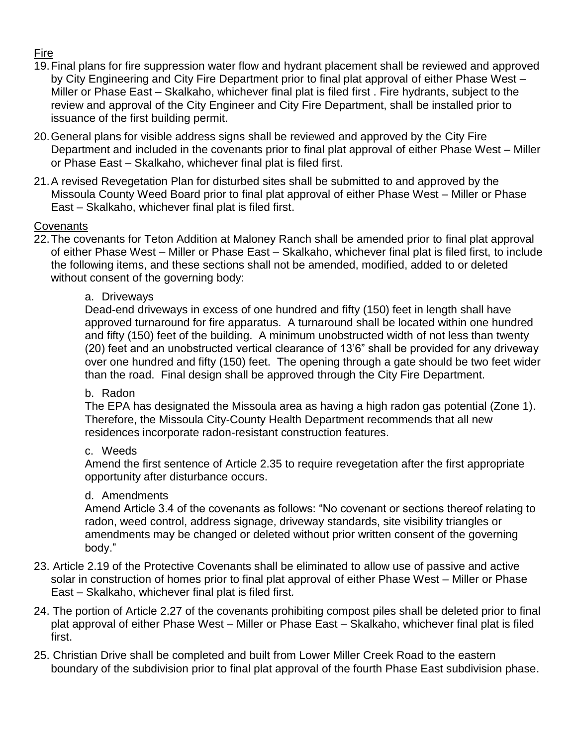# Fire

- 19.Final plans for fire suppression water flow and hydrant placement shall be reviewed and approved by City Engineering and City Fire Department prior to final plat approval of either Phase West – Miller or Phase East – Skalkaho, whichever final plat is filed first . Fire hydrants, subject to the review and approval of the City Engineer and City Fire Department, shall be installed prior to issuance of the first building permit.
- 20.General plans for visible address signs shall be reviewed and approved by the City Fire Department and included in the covenants prior to final plat approval of either Phase West – Miller or Phase East – Skalkaho, whichever final plat is filed first.
- 21.A revised Revegetation Plan for disturbed sites shall be submitted to and approved by the Missoula County Weed Board prior to final plat approval of either Phase West – Miller or Phase East – Skalkaho, whichever final plat is filed first.

# **Covenants**

22.The covenants for Teton Addition at Maloney Ranch shall be amended prior to final plat approval of either Phase West – Miller or Phase East – Skalkaho, whichever final plat is filed first, to include the following items, and these sections shall not be amended, modified, added to or deleted without consent of the governing body:

# a. Driveways

Dead-end driveways in excess of one hundred and fifty (150) feet in length shall have approved turnaround for fire apparatus. A turnaround shall be located within one hundred and fifty (150) feet of the building. A minimum unobstructed width of not less than twenty (20) feet and an unobstructed vertical clearance of 13'6" shall be provided for any driveway over one hundred and fifty (150) feet. The opening through a gate should be two feet wider than the road. Final design shall be approved through the City Fire Department.

# b.Radon

The EPA has designated the Missoula area as having a high radon gas potential (Zone 1). Therefore, the Missoula City-County Health Department recommends that all new residences incorporate radon-resistant construction features.

# c. Weeds

Amend the first sentence of Article 2.35 to require revegetation after the first appropriate opportunity after disturbance occurs.

# d. Amendments

Amend Article 3.4 of the covenants as follows: "No covenant or sections thereof relating to radon, weed control, address signage, driveway standards, site visibility triangles or amendments may be changed or deleted without prior written consent of the governing body."

- 23. Article 2.19 of the Protective Covenants shall be eliminated to allow use of passive and active solar in construction of homes prior to final plat approval of either Phase West – Miller or Phase East – Skalkaho, whichever final plat is filed first*.*
- 24. The portion of Article 2.27 of the covenants prohibiting compost piles shall be deleted prior to final plat approval of either Phase West – Miller or Phase East – Skalkaho, whichever final plat is filed first.
- 25. Christian Drive shall be completed and built from Lower Miller Creek Road to the eastern boundary of the subdivision prior to final plat approval of the fourth Phase East subdivision phase.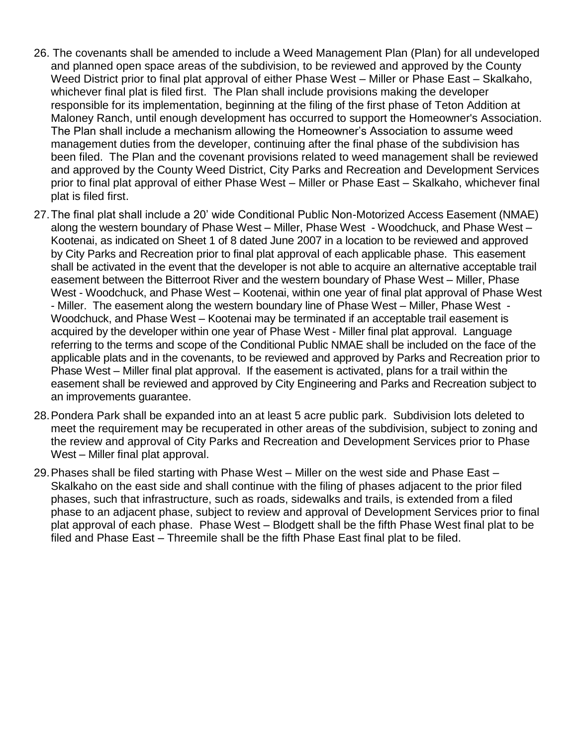- 26. The covenants shall be amended to include a Weed Management Plan (Plan) for all undeveloped and planned open space areas of the subdivision, to be reviewed and approved by the County Weed District prior to final plat approval of either Phase West – Miller or Phase East – Skalkaho, whichever final plat is filed first. The Plan shall include provisions making the developer responsible for its implementation, beginning at the filing of the first phase of Teton Addition at Maloney Ranch, until enough development has occurred to support the Homeowner's Association. The Plan shall include a mechanism allowing the Homeowner's Association to assume weed management duties from the developer, continuing after the final phase of the subdivision has been filed. The Plan and the covenant provisions related to weed management shall be reviewed and approved by the County Weed District, City Parks and Recreation and Development Services prior to final plat approval of either Phase West – Miller or Phase East – Skalkaho, whichever final plat is filed first.
- 27.The final plat shall include a 20' wide Conditional Public Non-Motorized Access Easement (NMAE) along the western boundary of Phase West – Miller, Phase West - Woodchuck, and Phase West – Kootenai, as indicated on Sheet 1 of 8 dated June 2007 in a location to be reviewed and approved by City Parks and Recreation prior to final plat approval of each applicable phase. This easement shall be activated in the event that the developer is not able to acquire an alternative acceptable trail easement between the Bitterroot River and the western boundary of Phase West – Miller, Phase West - Woodchuck, and Phase West – Kootenai, within one year of final plat approval of Phase West - Miller. The easement along the western boundary line of Phase West – Miller, Phase West - Woodchuck, and Phase West – Kootenai may be terminated if an acceptable trail easement is acquired by the developer within one year of Phase West - Miller final plat approval. Language referring to the terms and scope of the Conditional Public NMAE shall be included on the face of the applicable plats and in the covenants, to be reviewed and approved by Parks and Recreation prior to Phase West – Miller final plat approval. If the easement is activated, plans for a trail within the easement shall be reviewed and approved by City Engineering and Parks and Recreation subject to an improvements guarantee.
- 28.Pondera Park shall be expanded into an at least 5 acre public park. Subdivision lots deleted to meet the requirement may be recuperated in other areas of the subdivision, subject to zoning and the review and approval of City Parks and Recreation and Development Services prior to Phase West – Miller final plat approval.
- 29.Phases shall be filed starting with Phase West Miller on the west side and Phase East Skalkaho on the east side and shall continue with the filing of phases adjacent to the prior filed phases, such that infrastructure, such as roads, sidewalks and trails, is extended from a filed phase to an adjacent phase, subject to review and approval of Development Services prior to final plat approval of each phase. Phase West – Blodgett shall be the fifth Phase West final plat to be filed and Phase East – Threemile shall be the fifth Phase East final plat to be filed.